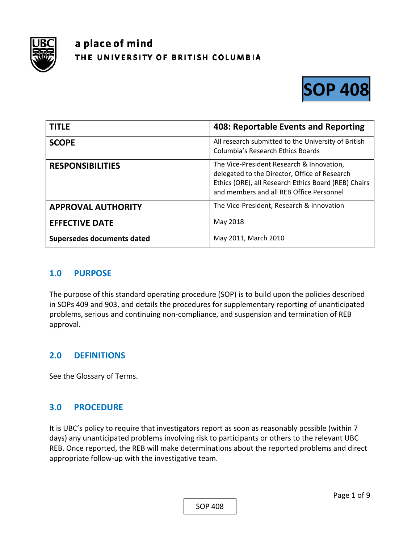

# a place of mind THE UNIVERSITY OF BRITISH COLUMBIA



| <b>TITLE</b>               | 408: Reportable Events and Reporting                                                                                                                                                           |
|----------------------------|------------------------------------------------------------------------------------------------------------------------------------------------------------------------------------------------|
| <b>SCOPE</b>               | All research submitted to the University of British<br><b>Columbia's Research Ethics Boards</b>                                                                                                |
| <b>RESPONSIBILITIES</b>    | The Vice-President Research & Innovation,<br>delegated to the Director, Office of Research<br>Ethics (ORE), all Research Ethics Board (REB) Chairs<br>and members and all REB Office Personnel |
| <b>APPROVAL AUTHORITY</b>  | The Vice-President, Research & Innovation                                                                                                                                                      |
| <b>EFFECTIVE DATE</b>      | May 2018                                                                                                                                                                                       |
| Supersedes documents dated | May 2011, March 2010                                                                                                                                                                           |

#### **1.0 PURPOSE**

The purpose of this standard operating procedure (SOP) is to build upon the policies described in SOPs 409 and 903, and details the procedures for supplementary reporting of unanticipated problems, serious and continuing non‐compliance, and suspension and termination of REB approval.

## **2.0 DEFINITIONS**

See the Glossary of Terms.

#### **3.0 PROCEDURE**

It is UBC's policy to require that investigators report as soon as reasonably possible (within 7 days) any unanticipated problems involving risk to participants or others to the relevant UBC REB. Once reported, the REB will make determinations about the reported problems and direct appropriate follow‐up with the investigative team.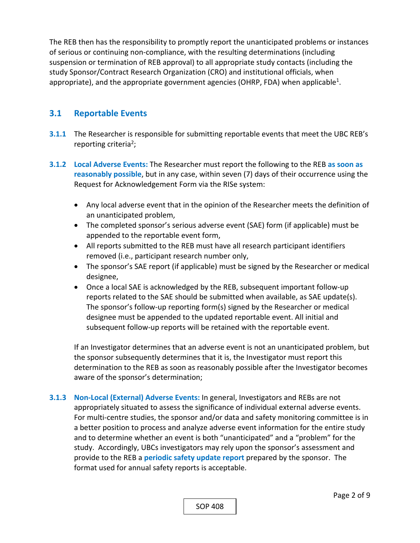The REB then has the responsibility to promptly report the unanticipated problems or instances of serious or continuing non‐compliance, with the resulting determinations (including suspension or termination of REB approval) to all appropriate study contacts (including the study Sponsor/Contract Research Organization (CRO) and institutional officials, when appropriate), and the appropriate government agencies (OHRP, FDA) when applicable<sup>1</sup>.

#### **3.1 Reportable Events**

- **3.1.1** The Researcher is responsible for submitting reportable events that meet the UBC REB's reporting criteria<sup>2</sup>;
- **3.1.2 Local Adverse Events:** The Researcher must report the following to the REB **as soon as reasonably possible**, but in any case, within seven (7) days of their occurrence using the Request for Acknowledgement Form via the RISe system:
	- Any local adverse event that in the opinion of the Researcher meets the definition of an unanticipated problem,
	- The completed sponsor's serious adverse event (SAE) form (if applicable) must be appended to the reportable event form,
	- All reports submitted to the REB must have all research participant identifiers removed (i.e., participant research number only,
	- The sponsor's SAE report (if applicable) must be signed by the Researcher or medical designee,
	- Once a local SAE is acknowledged by the REB, subsequent important follow-up reports related to the SAE should be submitted when available, as SAE update(s). The sponsor's follow‐up reporting form(s) signed by the Researcher or medical designee must be appended to the updated reportable event. All initial and subsequent follow-up reports will be retained with the reportable event.

If an Investigator determines that an adverse event is not an unanticipated problem, but the sponsor subsequently determines that it is, the Investigator must report this determination to the REB as soon as reasonably possible after the Investigator becomes aware of the sponsor's determination;

**3.1.3 Non‐Local (External) Adverse Events:** In general, Investigators and REBs are not appropriately situated to assess the significance of individual external adverse events. For multi-centre studies, the sponsor and/or data and safety monitoring committee is in a better position to process and analyze adverse event information for the entire study and to determine whether an event is both "unanticipated" and a "problem" for the study. Accordingly, UBCs investigators may rely upon the sponsor's assessment and provide to the REB a **periodic safety update report** prepared by the sponsor. The format used for annual safety reports is acceptable.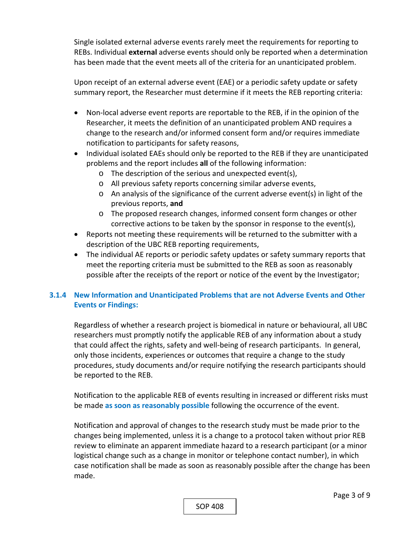Single isolated external adverse events rarely meet the requirements for reporting to REBs. Individual **external** adverse events should only be reported when a determination has been made that the event meets all of the criteria for an unanticipated problem.

Upon receipt of an external adverse event (EAE) or a periodic safety update or safety summary report, the Researcher must determine if it meets the REB reporting criteria:

- Non-local adverse event reports are reportable to the REB, if in the opinion of the Researcher, it meets the definition of an unanticipated problem AND requires a change to the research and/or informed consent form and/or requires immediate notification to participants for safety reasons,
- Individual isolated EAEs should only be reported to the REB if they are unanticipated problems and the report includes **all** of the following information:
	- o The description of the serious and unexpected event(s),
	- o All previous safety reports concerning similar adverse events,
	- $\circ$  An analysis of the significance of the current adverse event(s) in light of the previous reports, **and**
	- o The proposed research changes, informed consent form changes or other corrective actions to be taken by the sponsor in response to the event(s),
- Reports not meeting these requirements will be returned to the submitter with a description of the UBC REB reporting requirements,
- The individual AE reports or periodic safety updates or safety summary reports that meet the reporting criteria must be submitted to the REB as soon as reasonably possible after the receipts of the report or notice of the event by the Investigator;

#### **3.1.4 New Information and Unanticipated Problems that are not Adverse Events and Other Events or Findings:**

Regardless of whether a research project is biomedical in nature or behavioural, all UBC researchers must promptly notify the applicable REB of any information about a study that could affect the rights, safety and well‐being of research participants. In general, only those incidents, experiences or outcomes that require a change to the study procedures, study documents and/or require notifying the research participants should be reported to the REB.

Notification to the applicable REB of events resulting in increased or different risks must be made **as soon as reasonably possible** following the occurrence of the event.

Notification and approval of changes to the research study must be made prior to the changes being implemented, unless it is a change to a protocol taken without prior REB review to eliminate an apparent immediate hazard to a research participant (or a minor logistical change such as a change in monitor or telephone contact number), in which case notification shall be made as soon as reasonably possible after the change has been made.

SOP 408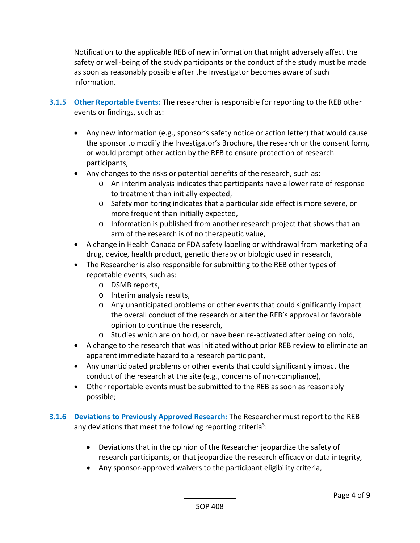Notification to the applicable REB of new information that might adversely affect the safety or well‐being of the study participants or the conduct of the study must be made as soon as reasonably possible after the Investigator becomes aware of such information.

- **3.1.5 Other Reportable Events:** The researcher is responsible for reporting to the REB other events or findings, such as:
	- Any new information (e.g., sponsor's safety notice or action letter) that would cause the sponsor to modify the Investigator's Brochure, the research or the consent form, or would prompt other action by the REB to ensure protection of research participants,
	- Any changes to the risks or potential benefits of the research, such as:
		- o An interim analysis indicates that participants have a lower rate of response to treatment than initially expected,
		- o Safety monitoring indicates that a particular side effect is more severe, or more frequent than initially expected,
		- o Information is published from another research project that shows that an arm of the research is of no therapeutic value,
	- A change in Health Canada or FDA safety labeling or withdrawal from marketing of a drug, device, health product, genetic therapy or biologic used in research,
	- The Researcher is also responsible for submitting to the REB other types of reportable events, such as:
		- o DSMB reports,
		- o Interim analysis results,
		- o Any unanticipated problems or other events that could significantly impact the overall conduct of the research or alter the REB's approval or favorable opinion to continue the research,
		- o Studies which are on hold, or have been re‐activated after being on hold,
	- A change to the research that was initiated without prior REB review to eliminate an apparent immediate hazard to a research participant,
	- Any unanticipated problems or other events that could significantly impact the conduct of the research at the site (e.g., concerns of non‐compliance),
	- Other reportable events must be submitted to the REB as soon as reasonably possible;
- **3.1.6 Deviations to Previously Approved Research:** The Researcher must report to the REB any deviations that meet the following reporting criteria<sup>3</sup>:
	- Deviations that in the opinion of the Researcher jeopardize the safety of research participants, or that jeopardize the research efficacy or data integrity,
	- Any sponsor-approved waivers to the participant eligibility criteria,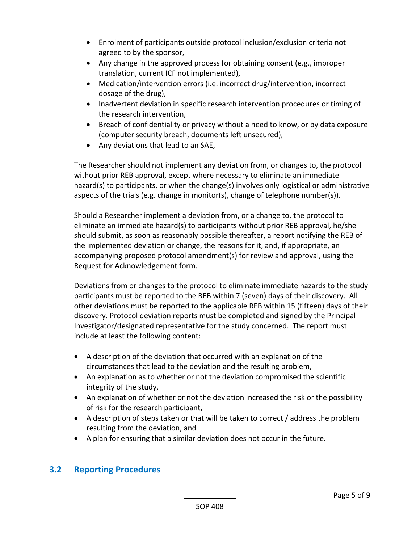- Enrolment of participants outside protocol inclusion/exclusion criteria not agreed to by the sponsor,
- Any change in the approved process for obtaining consent (e.g., improper translation, current ICF not implemented),
- Medication/intervention errors (i.e. incorrect drug/intervention, incorrect dosage of the drug),
- Inadvertent deviation in specific research intervention procedures or timing of the research intervention,
- Breach of confidentiality or privacy without a need to know, or by data exposure (computer security breach, documents left unsecured),
- Any deviations that lead to an SAE,

The Researcher should not implement any deviation from, or changes to, the protocol without prior REB approval, except where necessary to eliminate an immediate hazard(s) to participants, or when the change(s) involves only logistical or administrative aspects of the trials (e.g. change in monitor(s), change of telephone number(s)).

Should a Researcher implement a deviation from, or a change to, the protocol to eliminate an immediate hazard(s) to participants without prior REB approval, he/she should submit, as soon as reasonably possible thereafter, a report notifying the REB of the implemented deviation or change, the reasons for it, and, if appropriate, an accompanying proposed protocol amendment(s) for review and approval, using the Request for Acknowledgement form.

Deviations from or changes to the protocol to eliminate immediate hazards to the study participants must be reported to the REB within 7 (seven) days of their discovery. All other deviations must be reported to the applicable REB within 15 (fifteen) days of their discovery. Protocol deviation reports must be completed and signed by the Principal Investigator/designated representative for the study concerned. The report must include at least the following content:

- A description of the deviation that occurred with an explanation of the circumstances that lead to the deviation and the resulting problem,
- An explanation as to whether or not the deviation compromised the scientific integrity of the study,
- An explanation of whether or not the deviation increased the risk or the possibility of risk for the research participant,
- A description of steps taken or that will be taken to correct / address the problem resulting from the deviation, and
- A plan for ensuring that a similar deviation does not occur in the future.

## **3.2 Reporting Procedures**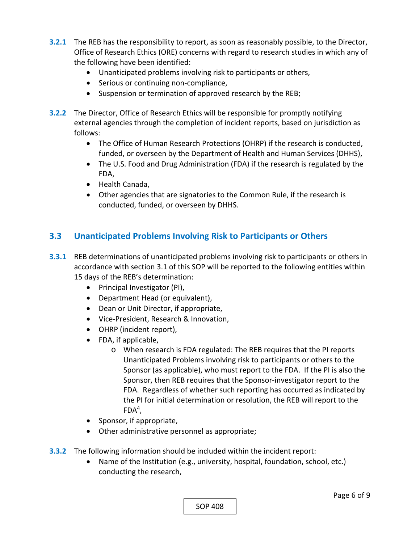- **3.2.1** The REB has the responsibility to report, as soon as reasonably possible, to the Director, Office of Research Ethics (ORE) concerns with regard to research studies in which any of the following have been identified:
	- Unanticipated problems involving risk to participants or others,
	- Serious or continuing non-compliance,
	- Suspension or termination of approved research by the REB;
- **3.2.2** The Director, Office of Research Ethics will be responsible for promptly notifying external agencies through the completion of incident reports, based on jurisdiction as follows:
	- The Office of Human Research Protections (OHRP) if the research is conducted, funded, or overseen by the Department of Health and Human Services (DHHS),
	- The U.S. Food and Drug Administration (FDA) if the research is regulated by the FDA,
	- Health Canada,
	- Other agencies that are signatories to the Common Rule, if the research is conducted, funded, or overseen by DHHS.

## **3.3 Unanticipated Problems Involving Risk to Participants or Others**

- **3.3.1**  REB determinations of unanticipated problems involving risk to participants or others in accordance with section 3.1 of this SOP will be reported to the following entities within 15 days of the REB's determination:
	- Principal Investigator (PI),
	- Department Head (or equivalent),
	- Dean or Unit Director, if appropriate,
	- Vice-President, Research & Innovation,
	- OHRP (incident report),
	- FDA, if applicable,
		- o When research is FDA regulated: The REB requires that the PI reports Unanticipated Problems involving risk to participants or others to the Sponsor (as applicable), who must report to the FDA. If the PI is also the Sponsor, then REB requires that the Sponsor‐investigator report to the FDA. Regardless of whether such reporting has occurred as indicated by the PI for initial determination or resolution, the REB will report to the  $FDA<sup>4</sup>$ ,
	- Sponsor, if appropriate,
	- Other administrative personnel as appropriate;
- **3.3.2**  The following information should be included within the incident report:
	- Name of the Institution (e.g., university, hospital, foundation, school, etc.) conducting the research,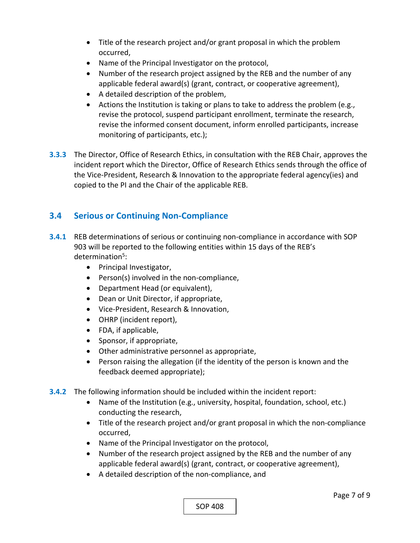- Title of the research project and/or grant proposal in which the problem occurred,
- Name of the Principal Investigator on the protocol,
- Number of the research project assigned by the REB and the number of any applicable federal award(s) (grant, contract, or cooperative agreement),
- A detailed description of the problem,
- Actions the Institution is taking or plans to take to address the problem (e.g., revise the protocol, suspend participant enrollment, terminate the research, revise the informed consent document, inform enrolled participants, increase monitoring of participants, etc.);
- **3.3.3**  The Director, Office of Research Ethics, in consultation with the REB Chair, approves the incident report which the Director, Office of Research Ethics sends through the office of the Vice‐President, Research & Innovation to the appropriate federal agency(ies) and copied to the PI and the Chair of the applicable REB.

# **3.4 Serious or Continuing Non‐Compliance**

- **3.4.1** REB determinations of serious or continuing non-compliance in accordance with SOP 903 will be reported to the following entities within 15 days of the REB's determination<sup>5</sup>:
	- Principal Investigator,
	- Person(s) involved in the non-compliance,
	- Department Head (or equivalent),
	- Dean or Unit Director, if appropriate,
	- Vice-President, Research & Innovation,
	- OHRP (incident report),
	- FDA, if applicable,
	- Sponsor, if appropriate,
	- Other administrative personnel as appropriate,
	- Person raising the allegation (if the identity of the person is known and the feedback deemed appropriate);
- **3.4.2**  The following information should be included within the incident report:
	- Name of the Institution (e.g., university, hospital, foundation, school, etc.) conducting the research,
	- Title of the research project and/or grant proposal in which the non-compliance occurred,
	- Name of the Principal Investigator on the protocol,
	- Number of the research project assigned by the REB and the number of any applicable federal award(s) (grant, contract, or cooperative agreement),
	- A detailed description of the non-compliance, and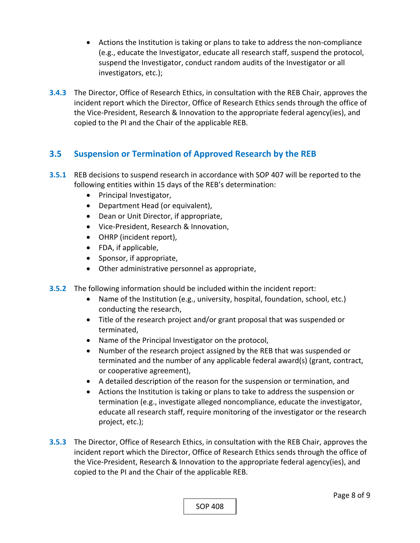- Actions the Institution is taking or plans to take to address the non-compliance (e.g., educate the Investigator, educate all research staff, suspend the protocol, suspend the Investigator, conduct random audits of the Investigator or all investigators, etc.);
- **3.4.3**  The Director, Office of Research Ethics, in consultation with the REB Chair, approves the incident report which the Director, Office of Research Ethics sends through the office of the Vice‐President, Research & Innovation to the appropriate federal agency(ies), and copied to the PI and the Chair of the applicable REB.

## **3.5 Suspension or Termination of Approved Research by the REB**

- **3.5.1**  REB decisions to suspend research in accordance with SOP 407 will be reported to the following entities within 15 days of the REB's determination:
	- Principal Investigator,
	- Department Head (or equivalent),
	- Dean or Unit Director, if appropriate,
	- Vice-President, Research & Innovation,
	- OHRP (incident report),
	- FDA, if applicable,
	- Sponsor, if appropriate,
	- Other administrative personnel as appropriate,
- **3.5.2**  The following information should be included within the incident report:
	- Name of the Institution (e.g., university, hospital, foundation, school, etc.) conducting the research,
	- Title of the research project and/or grant proposal that was suspended or terminated,
	- Name of the Principal Investigator on the protocol,
	- Number of the research project assigned by the REB that was suspended or terminated and the number of any applicable federal award(s) (grant, contract, or cooperative agreement),
	- A detailed description of the reason for the suspension or termination, and
	- Actions the Institution is taking or plans to take to address the suspension or termination (e.g., investigate alleged noncompliance, educate the investigator, educate all research staff, require monitoring of the investigator or the research project, etc.);
- **3.5.3**  The Director, Office of Research Ethics, in consultation with the REB Chair, approves the incident report which the Director, Office of Research Ethics sends through the office of the Vice‐President, Research & Innovation to the appropriate federal agency(ies), and copied to the PI and the Chair of the applicable REB.